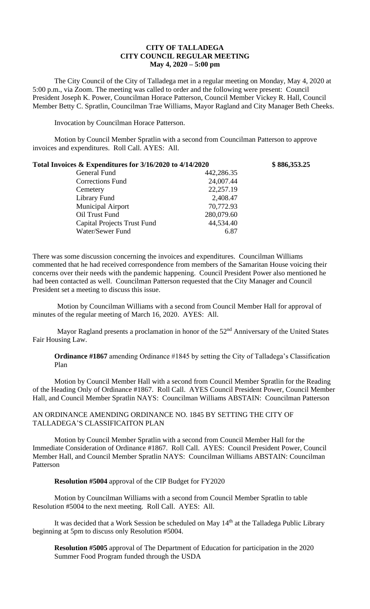## **CITY OF TALLADEGA CITY COUNCIL REGULAR MEETING May 4, 2020 – 5:00 pm**

The City Council of the City of Talladega met in a regular meeting on Monday, May 4, 2020 at 5:00 p.m., via Zoom. The meeting was called to order and the following were present: Council President Joseph K. Power, Councilman Horace Patterson, Council Member Vickey R. Hall, Council Member Betty C. Spratlin, Councilman Trae Williams, Mayor Ragland and City Manager Beth Cheeks.

Invocation by Councilman Horace Patterson.

Motion by Council Member Spratlin with a second from Councilman Patterson to approve invoices and expenditures. Roll Call. AYES: All.

| Total Invoices & Expenditures for 3/16/2020 to 4/14/2020 |            | \$886,353.25 |
|----------------------------------------------------------|------------|--------------|
| General Fund                                             | 442,286.35 |              |
| <b>Corrections Fund</b>                                  | 24,007.44  |              |
| Cemetery                                                 | 22,257.19  |              |
| Library Fund                                             | 2,408.47   |              |
| <b>Municipal Airport</b>                                 | 70,772.93  |              |
| Oil Trust Fund                                           | 280,079.60 |              |
| <b>Capital Projects Trust Fund</b>                       | 44,534.40  |              |
| Water/Sewer Fund                                         | 6.87       |              |

There was some discussion concerning the invoices and expenditures. Councilman Williams commented that he had received correspondence from members of the Samaritan House voicing their concerns over their needs with the pandemic happening. Council President Power also mentioned he had been contacted as well. Councilman Patterson requested that the City Manager and Council President set a meeting to discuss this issue.

Motion by Councilman Williams with a second from Council Member Hall for approval of minutes of the regular meeting of March 16, 2020. AYES: All.

Mayor Ragland presents a proclamation in honor of the 52<sup>nd</sup> Anniversary of the United States Fair Housing Law.

**Ordinance #1867** amending Ordinance #1845 by setting the City of Talladega's Classification Plan

Motion by Council Member Hall with a second from Council Member Spratlin for the Reading of the Heading Only of Ordinance #1867. Roll Call. AYES Council President Power, Council Member Hall, and Council Member Spratlin NAYS: Councilman Williams ABSTAIN: Councilman Patterson

AN ORDINANCE AMENDING ORDINANCE NO. 1845 BY SETTING THE CITY OF TALLADEGA'S CLASSIFICAITON PLAN

Motion by Council Member Spratlin with a second from Council Member Hall for the Immediate Consideration of Ordinance #1867. Roll Call. AYES: Council President Power, Council Member Hall, and Council Member Spratlin NAYS: Councilman Williams ABSTAIN: Councilman Patterson

**Resolution #5004** approval of the CIP Budget for FY2020

Motion by Councilman Williams with a second from Council Member Spratlin to table Resolution #5004 to the next meeting. Roll Call. AYES: All.

It was decided that a Work Session be scheduled on May 14<sup>th</sup> at the Talladega Public Library beginning at 5pm to discuss only Resolution #5004.

**Resolution #5005** approval of The Department of Education for participation in the 2020 Summer Food Program funded through the USDA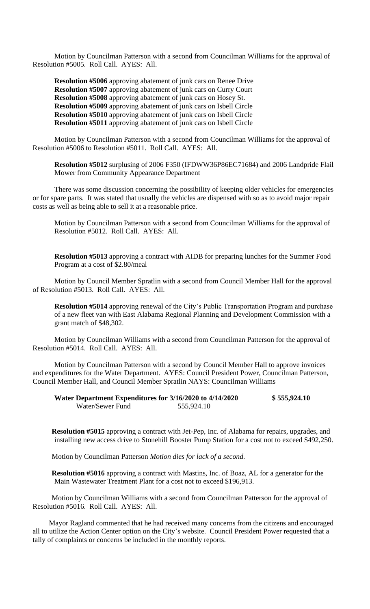Motion by Councilman Patterson with a second from Councilman Williams for the approval of Resolution #5005. Roll Call. AYES: All.

**Resolution #5006** approving abatement of junk cars on Renee Drive **Resolution #5007** approving abatement of junk cars on Curry Court **Resolution #5008** approving abatement of junk cars on Hosey St. **Resolution #5009** approving abatement of junk cars on Isbell Circle **Resolution #5010** approving abatement of junk cars on Isbell Circle **Resolution #5011** approving abatement of junk cars on Isbell Circle

Motion by Councilman Patterson with a second from Councilman Williams for the approval of Resolution #5006 to Resolution #5011. Roll Call. AYES: All.

**Resolution #5012** surplusing of 2006 F350 (IFDWW36P86EC71684) and 2006 Landpride Flail Mower from Community Appearance Department

There was some discussion concerning the possibility of keeping older vehicles for emergencies or for spare parts. It was stated that usually the vehicles are dispensed with so as to avoid major repair costs as well as being able to sell it at a reasonable price.

Motion by Councilman Patterson with a second from Councilman Williams for the approval of Resolution #5012. Roll Call. AYES: All.

**Resolution #5013** approving a contract with AIDB for preparing lunches for the Summer Food Program at a cost of \$2.80/meal

Motion by Council Member Spratlin with a second from Council Member Hall for the approval of Resolution #5013. Roll Call. AYES: All.

**Resolution #5014** approving renewal of the City's Public Transportation Program and purchase of a new fleet van with East Alabama Regional Planning and Development Commission with a grant match of \$48,302.

Motion by Councilman Williams with a second from Councilman Patterson for the approval of Resolution #5014. Roll Call. AYES: All.

Motion by Councilman Patterson with a second by Council Member Hall to approve invoices and expenditures for the Water Department. AYES: Council President Power, Councilman Patterson, Council Member Hall, and Council Member Spratlin NAYS: Councilman Williams

| Water Department Expenditures for 3/16/2020 to 4/14/2020 |            | \$555,924.10 |
|----------------------------------------------------------|------------|--------------|
| Water/Sewer Fund                                         | 555,924.10 |              |

**Resolution #5015** approving a contract with Jet-Pep, Inc. of Alabama for repairs, upgrades, and installing new access drive to Stonehill Booster Pump Station for a cost not to exceed \$492,250.

Motion by Councilman Patterson *Motion dies for lack of a second.*

**Resolution #5016** approving a contract with Mastins, Inc. of Boaz, AL for a generator for the Main Wastewater Treatment Plant for a cost not to exceed \$196,913.

Motion by Councilman Williams with a second from Councilman Patterson for the approval of Resolution #5016. Roll Call. AYES: All.

Mayor Ragland commented that he had received many concerns from the citizens and encouraged all to utilize the Action Center option on the City's website. Council President Power requested that a tally of complaints or concerns be included in the monthly reports.